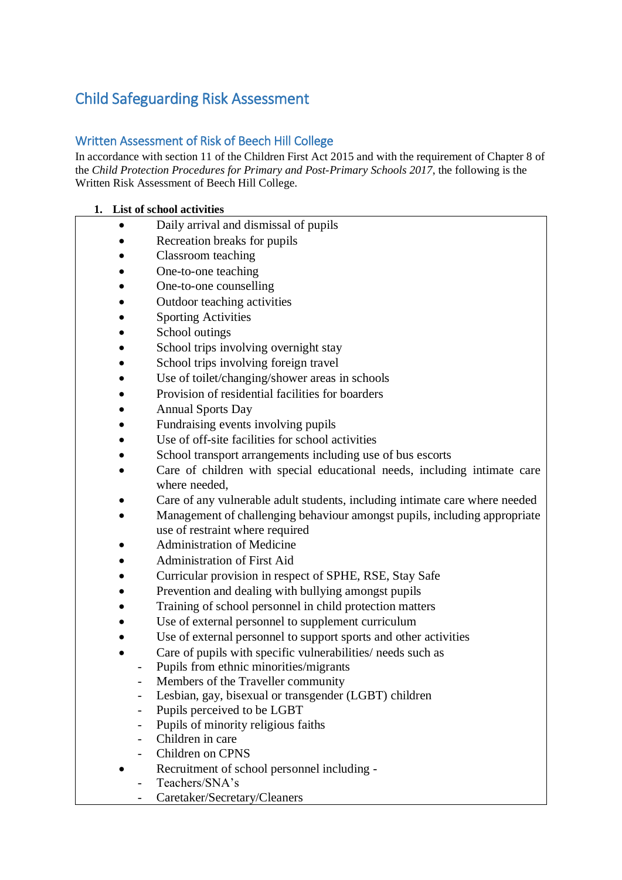## Child Safeguarding Risk Assessment

### Written Assessment of Risk of Beech Hill College

In accordance with section 11 of the Children First Act 2015 and with the requirement of Chapter 8 of the *Child Protection Procedures for Primary and Post-Primary Schools 2017*, the following is the Written Risk Assessment of Beech Hill College.

#### **1. List of school activities**

- Daily arrival and dismissal of pupils
- Recreation breaks for pupils
- Classroom teaching
- One-to-one teaching
- One-to-one counselling
- Outdoor teaching activities
- **Sporting Activities**
- School outings
- School trips involving overnight stay
- School trips involving foreign travel
- Use of toilet/changing/shower areas in schools
- Provision of residential facilities for boarders
- Annual Sports Day
- Fundraising events involving pupils
- Use of off-site facilities for school activities
- School transport arrangements including use of bus escorts
- Care of children with special educational needs, including intimate care where needed,
- Care of any vulnerable adult students, including intimate care where needed
- Management of challenging behaviour amongst pupils, including appropriate use of restraint where required
- Administration of Medicine
- Administration of First Aid
- Curricular provision in respect of SPHE, RSE, Stay Safe
- Prevention and dealing with bullying amongst pupils
- Training of school personnel in child protection matters
- Use of external personnel to supplement curriculum
- Use of external personnel to support sports and other activities
- Care of pupils with specific vulnerabilities/ needs such as
	- Pupils from ethnic minorities/migrants
	- Members of the Traveller community
	- Lesbian, gay, bisexual or transgender (LGBT) children
	- Pupils perceived to be LGBT
	- Pupils of minority religious faiths
	- Children in care
	- Children on CPNS
		- Recruitment of school personnel including -
	- Teachers/SNA's
		- Caretaker/Secretary/Cleaners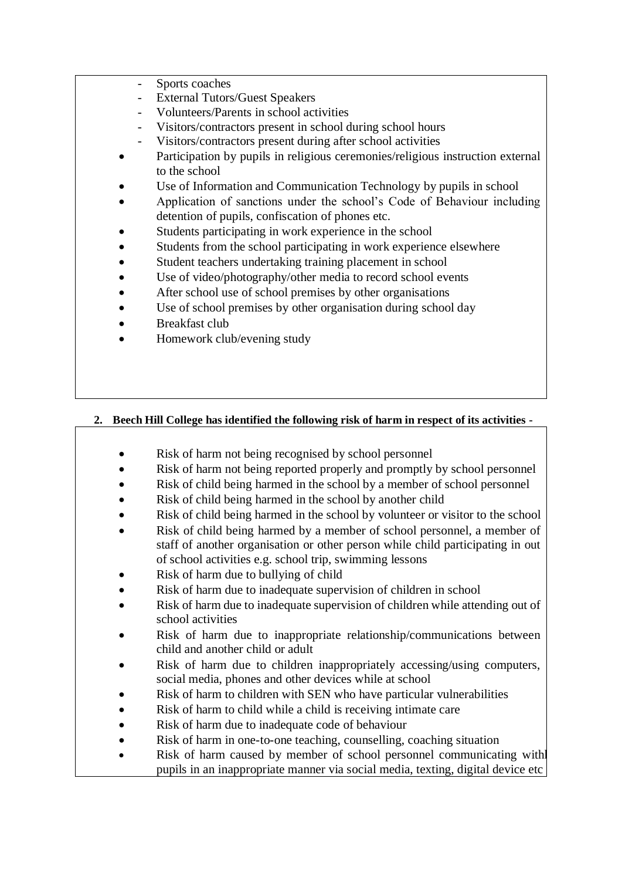- Sports coaches
- External Tutors/Guest Speakers
- Volunteers/Parents in school activities
- Visitors/contractors present in school during school hours
- Visitors/contractors present during after school activities
- Participation by pupils in religious ceremonies/religious instruction external to the school
- Use of Information and Communication Technology by pupils in school
- Application of sanctions under the school's Code of Behaviour including detention of pupils, confiscation of phones etc.
- Students participating in work experience in the school
- Students from the school participating in work experience elsewhere
- Student teachers undertaking training placement in school
- Use of video/photography/other media to record school events
- After school use of school premises by other organisations
- Use of school premises by other organisation during school day
- Breakfast club
- Homework club/evening study

### **2. Beech Hill College has identified the following risk of harm in respect of its activities -**

- Risk of harm not being recognised by school personnel
- Risk of harm not being reported properly and promptly by school personnel
- Risk of child being harmed in the school by a member of school personnel
- Risk of child being harmed in the school by another child
- Risk of child being harmed in the school by volunteer or visitor to the school
- Risk of child being harmed by a member of school personnel, a member of staff of another organisation or other person while child participating in out of school activities e.g. school trip, swimming lessons
- Risk of harm due to bullying of child
- Risk of harm due to inadequate supervision of children in school
- Risk of harm due to inadequate supervision of children while attending out of school activities
- Risk of harm due to inappropriate relationship/communications between child and another child or adult
- Risk of harm due to children inappropriately accessing/using computers, social media, phones and other devices while at school
- Risk of harm to children with SEN who have particular vulnerabilities
- Risk of harm to child while a child is receiving intimate care
- Risk of harm due to inadequate code of behaviour
- Risk of harm in one-to-one teaching, counselling, coaching situation
- Risk of harm caused by member of school personnel communicating with pupils in an inappropriate manner via social media, texting, digital device etc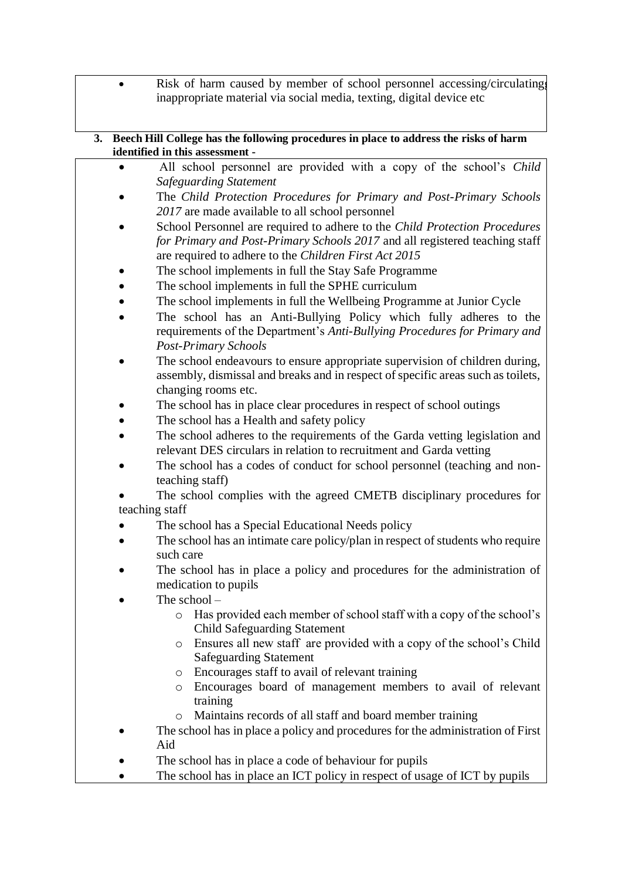• Risk of harm caused by member of school personnel accessing/circulating inappropriate material via social media, texting, digital device etc

#### **3. Beech Hill College has the following procedures in place to address the risks of harm identified in this assessment -**

- All school personnel are provided with a copy of the school's *Child Safeguarding Statement*
- The *Child Protection Procedures for Primary and Post-Primary Schools 2017* are made available to all school personnel
- School Personnel are required to adhere to the *Child Protection Procedures for Primary and Post-Primary Schools 2017* and all registered teaching staff are required to adhere to the *Children First Act 2015*
- The school implements in full the Stay Safe Programme
- The school implements in full the SPHE curriculum
- The school implements in full the Wellbeing Programme at Junior Cycle
- The school has an Anti-Bullying Policy which fully adheres to the requirements of the Department's *Anti-Bullying Procedures for Primary and Post-Primary Schools*
- The school endeavours to ensure appropriate supervision of children during, assembly, dismissal and breaks and in respect of specific areas such as toilets, changing rooms etc.
- The school has in place clear procedures in respect of school outings
- The school has a Health and safety policy
- The school adheres to the requirements of the Garda vetting legislation and relevant DES circulars in relation to recruitment and Garda vetting
- The school has a codes of conduct for school personnel (teaching and nonteaching staff)
- The school complies with the agreed CMETB disciplinary procedures for teaching staff
- The school has a Special Educational Needs policy
- The school has an intimate care policy/plan in respect of students who require such care
- The school has in place a policy and procedures for the administration of medication to pupils
- The school  $$ 
	- o Has provided each member of school staff with a copy of the school's Child Safeguarding Statement
	- o Ensures all new staff are provided with a copy of the school's Child Safeguarding Statement
	- o Encourages staff to avail of relevant training
	- o Encourages board of management members to avail of relevant training
	- o Maintains records of all staff and board member training
- The school has in place a policy and procedures for the administration of First Aid
- The school has in place a code of behaviour for pupils
- The school has in place an ICT policy in respect of usage of ICT by pupils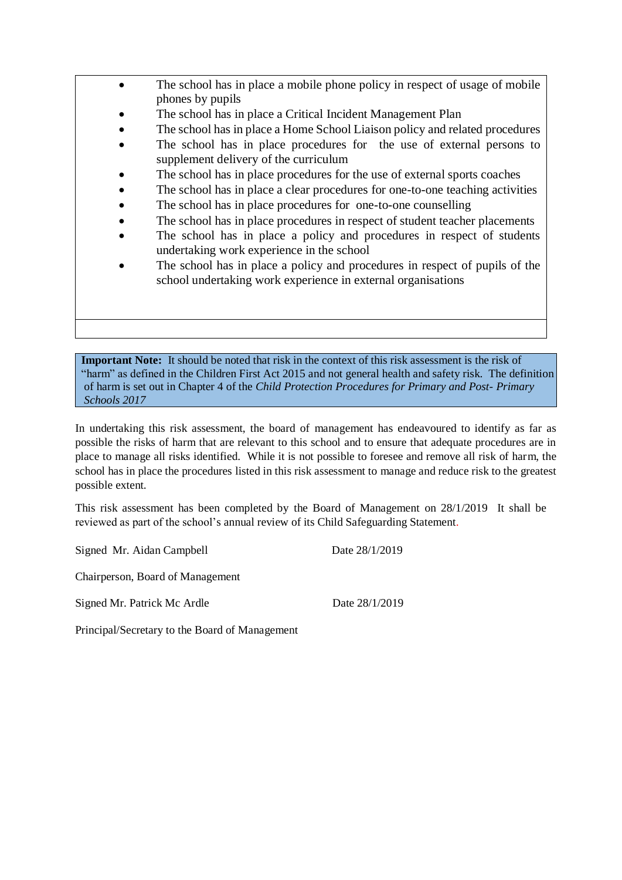- The school has in place a mobile phone policy in respect of usage of mobile phones by pupils
	- The school has in place a Critical Incident Management Plan
	- The school has in place a Home School Liaison policy and related procedures
	- The school has in place procedures for the use of external persons to supplement delivery of the curriculum
	- The school has in place procedures for the use of external sports coaches
	- The school has in place a clear procedures for one-to-one teaching activities
	- The school has in place procedures for one-to-one counselling
	- The school has in place procedures in respect of student teacher placements
	- The school has in place a policy and procedures in respect of students undertaking work experience in the school
	- The school has in place a policy and procedures in respect of pupils of the school undertaking work experience in external organisations

**Important Note:** It should be noted that risk in the context of this risk assessment is the risk of "harm" as defined in the Children First Act 2015 and not general health and safety risk. The definition of harm is set out in Chapter 4 of the *Child Protection Procedures for Primary and Post- Primary Schools 2017*

In undertaking this risk assessment, the board of management has endeavoured to identify as far as possible the risks of harm that are relevant to this school and to ensure that adequate procedures are in place to manage all risks identified. While it is not possible to foresee and remove all risk of harm, the school has in place the procedures listed in this risk assessment to manage and reduce risk to the greatest possible extent.

This risk assessment has been completed by the Board of Management on 28/1/2019 It shall be reviewed as part of the school's annual review of its Child Safeguarding Statement.

Signed Mr. Aidan Campbell Date 28/1/2019

Chairperson, Board of Management

Signed Mr. Patrick Mc Ardle Date 28/1/2019

Principal/Secretary to the Board of Management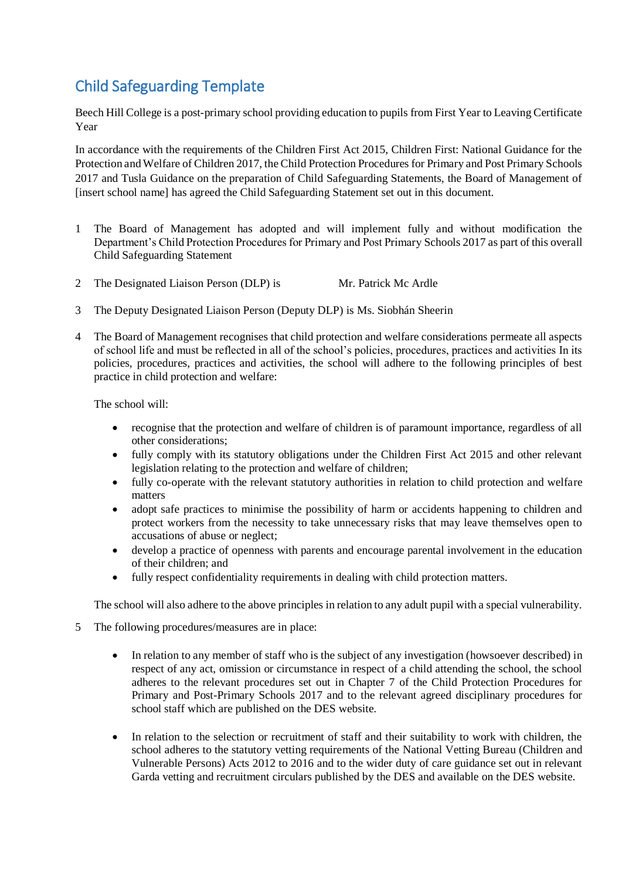# Child Safeguarding Template

Beech Hill College is a post-primary school providing education to pupils from First Year to Leaving Certificate Year

In accordance with the requirements of the Children First Act 2015, Children First: National Guidance for the Protection and Welfare of Children 2017, the Child Protection Procedures for Primary and Post Primary Schools 2017 and Tusla Guidance on the preparation of Child Safeguarding Statements, the Board of Management of [insert school name] has agreed the Child Safeguarding Statement set out in this document.

- 1 The Board of Management has adopted and will implement fully and without modification the Department's Child Protection Procedures for Primary and Post Primary Schools 2017 as part of this overall Child Safeguarding Statement
- 2 The Designated Liaison Person (DLP) is Mr. Patrick Mc Ardle
- 3 The Deputy Designated Liaison Person (Deputy DLP) is Ms. Siobhán Sheerin
- 4 The Board of Management recognises that child protection and welfare considerations permeate all aspects of school life and must be reflected in all of the school's policies, procedures, practices and activities In its policies, procedures, practices and activities, the school will adhere to the following principles of best practice in child protection and welfare:

The school will:

- recognise that the protection and welfare of children is of paramount importance, regardless of all other considerations;
- fully comply with its statutory obligations under the Children First Act 2015 and other relevant legislation relating to the protection and welfare of children;
- fully co-operate with the relevant statutory authorities in relation to child protection and welfare matters
- adopt safe practices to minimise the possibility of harm or accidents happening to children and protect workers from the necessity to take unnecessary risks that may leave themselves open to accusations of abuse or neglect;
- develop a practice of openness with parents and encourage parental involvement in the education of their children; and
- fully respect confidentiality requirements in dealing with child protection matters.

The school will also adhere to the above principles in relation to any adult pupil with a special vulnerability.

- 5 The following procedures/measures are in place:
	- In relation to any member of staff who is the subject of any investigation (howsoever described) in respect of any act, omission or circumstance in respect of a child attending the school, the school adheres to the relevant procedures set out in Chapter 7 of the Child Protection Procedures for Primary and Post-Primary Schools 2017 and to the relevant agreed disciplinary procedures for school staff which are published on the DES website.
	- In relation to the selection or recruitment of staff and their suitability to work with children, the school adheres to the statutory vetting requirements of the National Vetting Bureau (Children and Vulnerable Persons) Acts 2012 to 2016 and to the wider duty of care guidance set out in relevant Garda vetting and recruitment circulars published by the DES and available on the DES website.